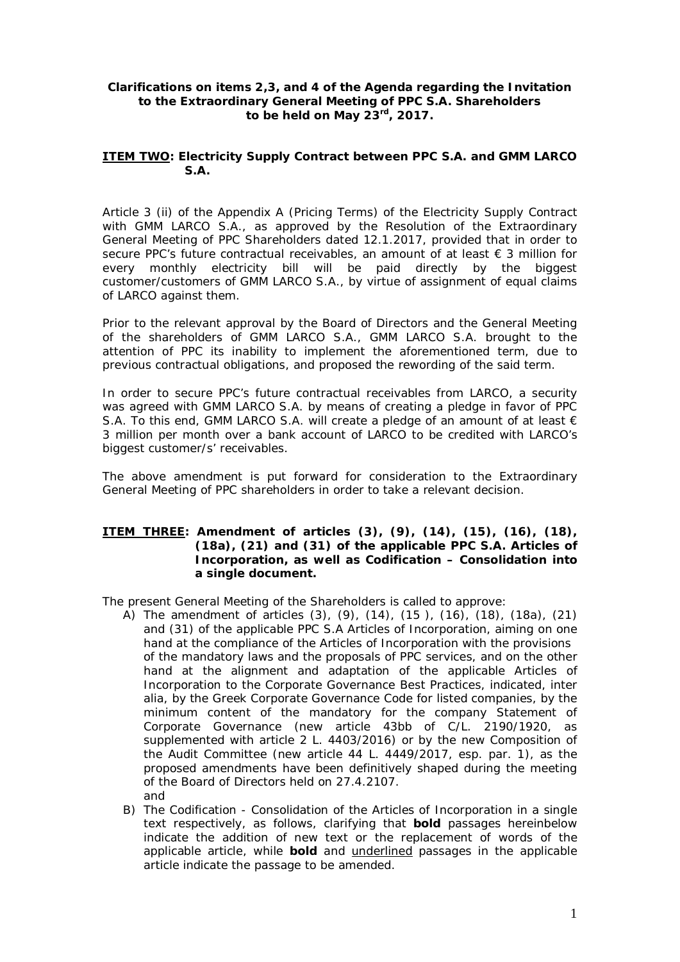## **Clarifications on items 2,3, and 4 of the Agenda regarding the Invitation to the Extraordinary General Meeting of PPC S.A. Shareholders to be held on May 23rd, 2017.**

**ITEM** TWO: Electricity Supply Contract between PPC S.A. and GMM LARCO **S.A.** 

Article 3 (ii) of the Appendix A (Pricing Terms) of the Electricity Supply Contract with GMM LARCO S.A., as approved by the Resolution of the Extraordinary General Meeting of PPC Shareholders dated 12.1.2017, provided that in order to secure PPC's future contractual receivables, an amount of at least € 3 million for every monthly electricity bill will be paid directly by the biggest customer/customers of GMM LARCO S.A., by virtue of assignment of equal claims of LARCO against them.

Prior to the relevant approval by the Board of Directors and the General Meeting of the shareholders of GMM LARCO S.A., GMM LARCO S.A. brought to the attention of PPC its inability to implement the aforementioned term, due to previous contractual obligations, and proposed the rewording of the said term.

In order to secure PPC's future contractual receivables from LARCO, a security was agreed with GMM LARCO S.A. by means of creating a pledge in favor of PPC S.A. To this end, GMM LARCO S.A. will create a pledge of an amount of at least  $\epsilon$ 3 million per month over a bank account of LARCO to be credited with LARCO's biggest customer/s' receivables.

The above amendment is put forward for consideration to the Extraordinary General Meeting of PPC shareholders in order to take a relevant decision.

**ITEM** THREE: Amendment of articles (3), (9), (14), (15), (16), (18), **(18a), (21) and (31) of the applicable PPC S.A. Articles of Incorporation, as well as Codification – Consolidation into a single document.** 

The present General Meeting of the Shareholders is called to approve:

- A) The amendment of articles (3), (9), (14), (15 ), (16), (18), (18a), (21) and (31) of the applicable PPC S.A Articles of Incorporation, aiming on one hand at the compliance of the Articles of Incorporation with the provisions of the mandatory laws and the proposals of PPC services, and on the other hand at the alignment and adaptation of the applicable Articles of Incorporation to the Corporate Governance Best Practices, indicated, inter alia, by the Greek Corporate Governance Code for listed companies, by the minimum content of the mandatory for the company Statement of Corporate Governance (new article 43bb of C/L. 2190/1920, as supplemented with article 2 L. 4403/2016) or by the new Composition of the Audit Committee (new article 44 L. 4449/2017, esp. par. 1), as the proposed amendments have been definitively shaped during the meeting of the Board of Directors held on 27.4.2107. and
- B) The Codification Consolidation of the Articles of Incorporation in a single text respectively, as follows, clarifying that **bold** passages hereinbelow indicate the addition of new text or the replacement of words of the applicable article, while **bold** and underlined passages in the applicable article indicate the passage to be amended.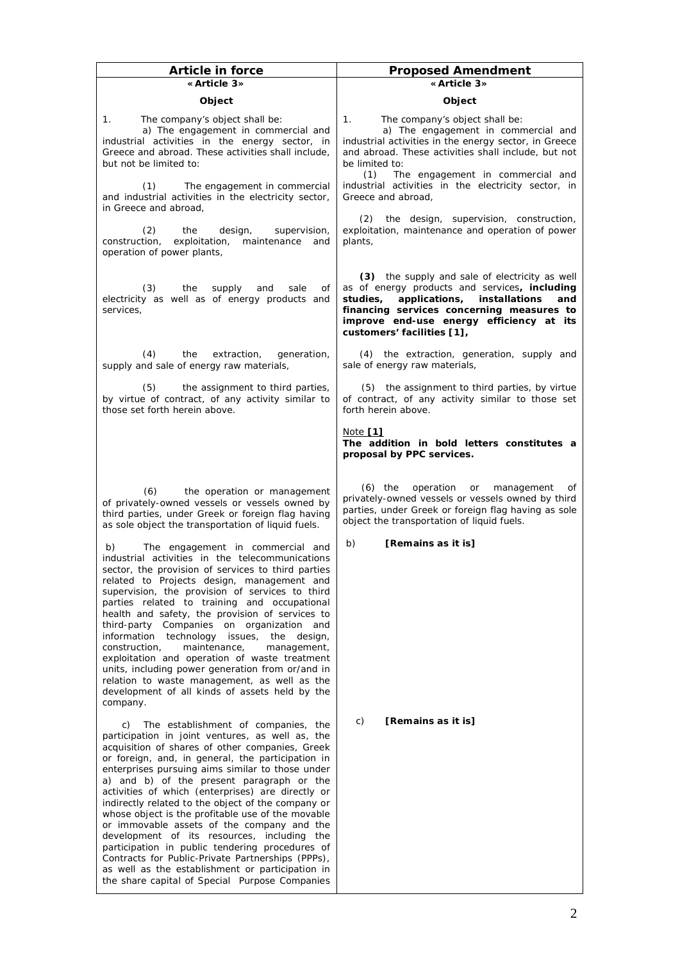| Article in force                                                                                                                                                                                                                                                                                                                                                                                                                                                                                                                                                                                                                                                                                                                                                                  | Proposed Amendment                                                                                                                                                                                                                                                          |
|-----------------------------------------------------------------------------------------------------------------------------------------------------------------------------------------------------------------------------------------------------------------------------------------------------------------------------------------------------------------------------------------------------------------------------------------------------------------------------------------------------------------------------------------------------------------------------------------------------------------------------------------------------------------------------------------------------------------------------------------------------------------------------------|-----------------------------------------------------------------------------------------------------------------------------------------------------------------------------------------------------------------------------------------------------------------------------|
| «Article 3»                                                                                                                                                                                                                                                                                                                                                                                                                                                                                                                                                                                                                                                                                                                                                                       | «Article 3»                                                                                                                                                                                                                                                                 |
| Object                                                                                                                                                                                                                                                                                                                                                                                                                                                                                                                                                                                                                                                                                                                                                                            | Object                                                                                                                                                                                                                                                                      |
| The company's object shall be:<br>$\mathcal{I}$ .<br>a) The engagement in commercial and<br>industrial activities in the energy sector, in<br>Greece and abroad. These activities shall include,<br>but not be limited to:                                                                                                                                                                                                                                                                                                                                                                                                                                                                                                                                                        | The company's object shall be:<br>1.<br>a) The engagement in commercial and<br>industrial activities in the energy sector, in Greece<br>and abroad. These activities shall include, but not<br>be limited to:                                                               |
| (1)<br>The engagement in commercial<br>and industrial activities in the electricity sector,<br>in Greece and abroad,                                                                                                                                                                                                                                                                                                                                                                                                                                                                                                                                                                                                                                                              | (1)<br>The engagement in commercial and<br>industrial activities in the electricity sector, in<br>Greece and abroad,                                                                                                                                                        |
| (2)<br>the<br>design,<br>supervision,<br>construction,<br>exploitation,<br>maintenance<br>and<br>operation of power plants,                                                                                                                                                                                                                                                                                                                                                                                                                                                                                                                                                                                                                                                       | (2) the design, supervision, construction,<br>exploitation, maintenance and operation of power<br>plants,                                                                                                                                                                   |
| (3)<br>the<br>supply<br>and<br>sale<br>Οf<br>electricity as well as of energy products and<br>services,                                                                                                                                                                                                                                                                                                                                                                                                                                                                                                                                                                                                                                                                           | (3) the supply and sale of electricity as well<br>as of energy products and services, including<br>applications,<br>installations<br>studies.<br>and<br>financing services concerning measures to<br>improve end-use energy efficiency at its<br>customers' facilities [1], |
| (4)<br>the<br>extraction,<br>generation,<br>supply and sale of energy raw materials,                                                                                                                                                                                                                                                                                                                                                                                                                                                                                                                                                                                                                                                                                              | (4) the extraction, generation, supply and<br>sale of energy raw materials,                                                                                                                                                                                                 |
| the assignment to third parties,<br>(5)<br>by virtue of contract, of any activity similar to<br>those set forth herein above.                                                                                                                                                                                                                                                                                                                                                                                                                                                                                                                                                                                                                                                     | (5) the assignment to third parties, by virtue<br>of contract, of any activity similar to those set<br>forth herein above.                                                                                                                                                  |
|                                                                                                                                                                                                                                                                                                                                                                                                                                                                                                                                                                                                                                                                                                                                                                                   | Note $[1]$<br>The addition in bold letters constitutes a<br>proposal by PPC services.                                                                                                                                                                                       |
| (6)<br>the operation or management<br>of privately-owned vessels or vessels owned by<br>third parties, under Greek or foreign flag having<br>as sole object the transportation of liquid fuels.                                                                                                                                                                                                                                                                                                                                                                                                                                                                                                                                                                                   | $(6)$ the<br>operation<br>or<br>management<br>of<br>privately-owned vessels or vessels owned by third<br>parties, under Greek or foreign flag having as sole<br>object the transportation of liquid fuels.                                                                  |
| b)<br>The engagement in commercial and<br>industrial activities in the telecommunications<br>sector, the provision of services to third parties<br>related to Projects design, management and<br>supervision, the provision of services to third<br>parties related to training and occupational<br>health and safety, the provision of services to<br>third-party Companies on organization and<br>information<br>technology issues,<br>the design,<br>construction,<br>maintenance,<br>management,<br>exploitation and operation of waste treatment<br>units, including power generation from or/and in<br>relation to waste management, as well as the<br>development of all kinds of assets held by the<br>company.                                                           | b)<br>[Remains as it is]                                                                                                                                                                                                                                                    |
| The establishment of companies, the<br>C)<br>participation in joint ventures, as well as, the<br>acquisition of shares of other companies, Greek<br>or foreign, and, in general, the participation in<br>enterprises pursuing aims similar to those under<br>a) and b) of the present paragraph or the<br>activities of which (enterprises) are directly or<br>indirectly related to the object of the company or<br>whose object is the profitable use of the movable<br>or immovable assets of the company and the<br>development of its resources, including the<br>participation in public tendering procedures of<br>Contracts for Public-Private Partnerships (PPPs),<br>as well as the establishment or participation in<br>the share capital of Special Purpose Companies | [Remains as it is]<br>C)                                                                                                                                                                                                                                                    |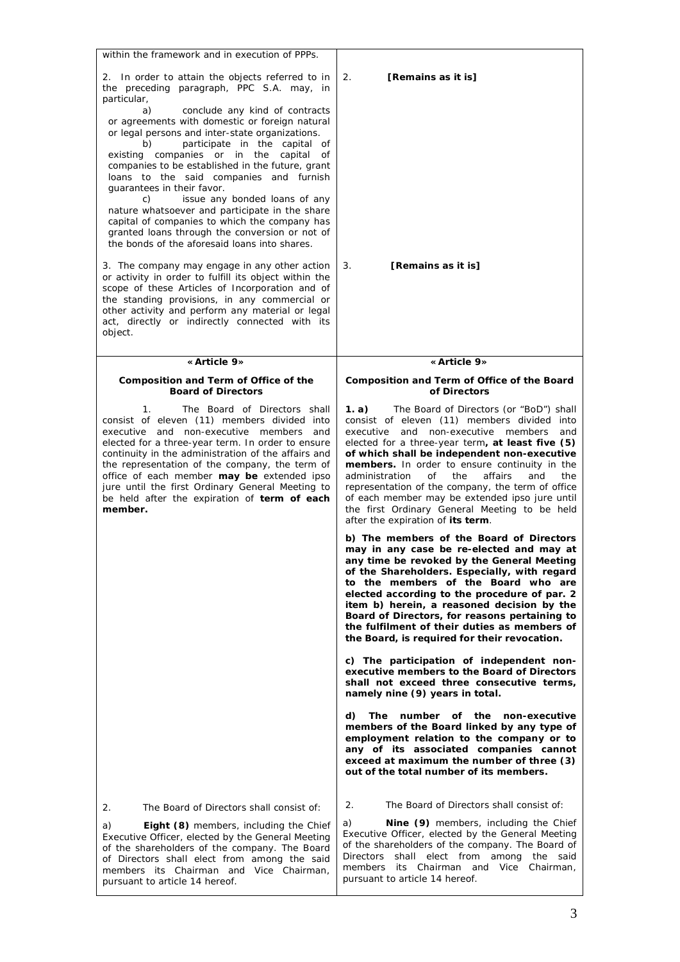| within the framework and in execution of PPPs.                                                                                                                                                                                                                                                                                                                                                                                                                                                                                                                                                                                                                                                                                                                                                                                  |                                                                                                                                                                                                                                                                                                                                                                                                                                                                                                                                                              |
|---------------------------------------------------------------------------------------------------------------------------------------------------------------------------------------------------------------------------------------------------------------------------------------------------------------------------------------------------------------------------------------------------------------------------------------------------------------------------------------------------------------------------------------------------------------------------------------------------------------------------------------------------------------------------------------------------------------------------------------------------------------------------------------------------------------------------------|--------------------------------------------------------------------------------------------------------------------------------------------------------------------------------------------------------------------------------------------------------------------------------------------------------------------------------------------------------------------------------------------------------------------------------------------------------------------------------------------------------------------------------------------------------------|
| 2. In order to attain the objects referred to in<br>the preceding paragraph, PPC S.A. may, in<br>particular,<br>a)<br>conclude any kind of contracts<br>or agreements with domestic or foreign natural<br>or legal persons and inter-state organizations.<br>participate in the capital of<br>b)<br>existing companies or in the capital of<br>companies to be established in the future, grant<br>loans to the said companies and furnish<br>quarantees in their favor.<br>issue any bonded loans of any<br>C)<br>nature whatsoever and participate in the share<br>capital of companies to which the company has<br>granted loans through the conversion or not of<br>the bonds of the aforesaid loans into shares.<br>3. The company may engage in any other action<br>or activity in order to fulfill its object within the | 2.<br>[Remains as it is]<br>[Remains as it is]<br>3.                                                                                                                                                                                                                                                                                                                                                                                                                                                                                                         |
| scope of these Articles of Incorporation and of<br>the standing provisions, in any commercial or<br>other activity and perform any material or legal<br>act, directly or indirectly connected with its<br>object.                                                                                                                                                                                                                                                                                                                                                                                                                                                                                                                                                                                                               |                                                                                                                                                                                                                                                                                                                                                                                                                                                                                                                                                              |
| «Article 9»                                                                                                                                                                                                                                                                                                                                                                                                                                                                                                                                                                                                                                                                                                                                                                                                                     | « Article 9»                                                                                                                                                                                                                                                                                                                                                                                                                                                                                                                                                 |
| Composition and Term of Office of the<br><b>Board of Directors</b>                                                                                                                                                                                                                                                                                                                                                                                                                                                                                                                                                                                                                                                                                                                                                              | Composition and Term of Office of the Board<br>of Directors                                                                                                                                                                                                                                                                                                                                                                                                                                                                                                  |
| The Board of Directors shall<br>$\mathcal{I}$ .<br>consist of eleven (11) members divided into<br>executive and non-executive members and<br>elected for a three-year term. In order to ensure<br>continuity in the administration of the affairs and<br>the representation of the company, the term of<br>office of each member may be extended ipso<br>jure until the first Ordinary General Meeting to<br>be held after the expiration of term of each<br>member.                                                                                                                                                                                                                                                                                                                                                            | The Board of Directors (or "BoD") shall<br>1. a)<br>consist of eleven (11) members divided into<br>non-executive members<br>executive<br>and<br>and<br>elected for a three-year term, at least five (5)<br>of which shall be independent non-executive<br>members. In order to ensure continuity in the<br>administration<br>of<br>the<br>affairs<br>and<br>the<br>representation of the company, the term of office<br>of each member may be extended ipso jure until<br>the first Ordinary General Meeting to be held<br>after the expiration of its term. |
|                                                                                                                                                                                                                                                                                                                                                                                                                                                                                                                                                                                                                                                                                                                                                                                                                                 | b) The members of the Board of Directors<br>may in any case be re-elected and may at<br>any time be revoked by the General Meeting<br>of the Shareholders. Especially, with regard<br>to the members of the Board who are<br>elected according to the procedure of par. 2<br>item b) herein, a reasoned decision by the<br>Board of Directors, for reasons pertaining to<br>the fulfilment of their duties as members of<br>the Board, is required for their revocation.                                                                                     |
|                                                                                                                                                                                                                                                                                                                                                                                                                                                                                                                                                                                                                                                                                                                                                                                                                                 | c) The participation of independent non-<br>executive members to the Board of Directors<br>shall not exceed three consecutive terms,<br>namely nine (9) years in total.                                                                                                                                                                                                                                                                                                                                                                                      |
|                                                                                                                                                                                                                                                                                                                                                                                                                                                                                                                                                                                                                                                                                                                                                                                                                                 | d)<br>The number of the non-executive<br>members of the Board linked by any type of<br>employment relation to the company or to<br>any of its associated companies cannot<br>exceed at maximum the number of three (3)<br>out of the total number of its members.                                                                                                                                                                                                                                                                                            |
|                                                                                                                                                                                                                                                                                                                                                                                                                                                                                                                                                                                                                                                                                                                                                                                                                                 | 2.<br>The Board of Directors shall consist of:                                                                                                                                                                                                                                                                                                                                                                                                                                                                                                               |
| 2.<br>The Board of Directors shall consist of:<br>a)<br>Eight (8) members, including the Chief<br>Executive Officer, elected by the General Meeting<br>of the shareholders of the company. The Board<br>of Directors shall elect from among the said<br>members its Chairman and Vice Chairman,<br>pursuant to article 14 hereof.                                                                                                                                                                                                                                                                                                                                                                                                                                                                                               | a)<br>Nine (9) members, including the Chief<br>Executive Officer, elected by the General Meeting<br>of the shareholders of the company. The Board of<br>shall elect from among<br>Directors<br>the said<br>members<br>its Chairman and Vice Chairman,<br>pursuant to article 14 hereof.                                                                                                                                                                                                                                                                      |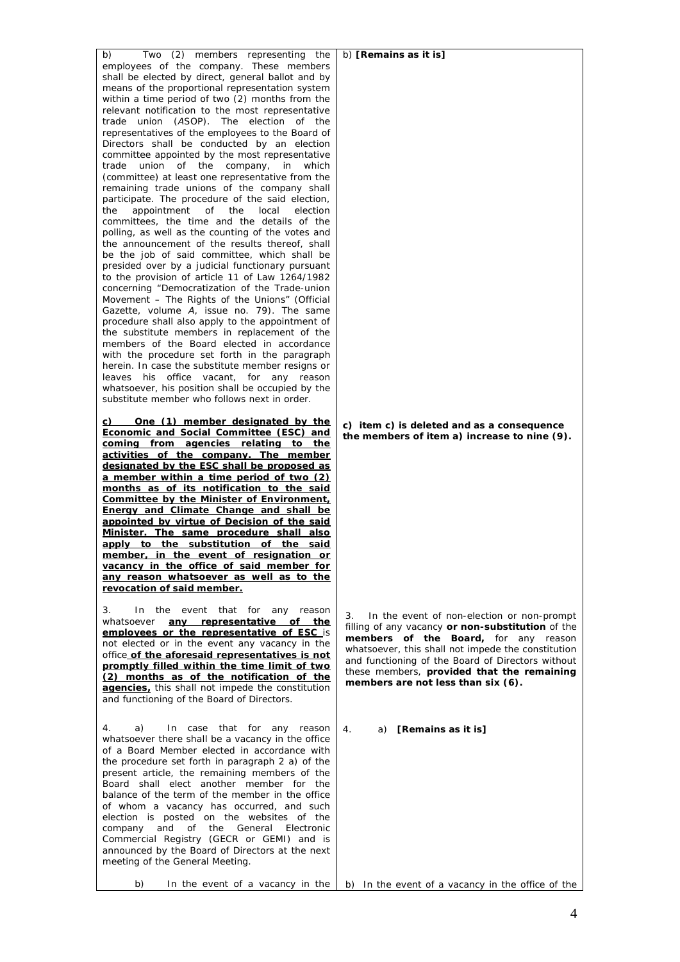| b)<br>Two (2) members representing the                                                            | b) [Remains as it is]                                                            |
|---------------------------------------------------------------------------------------------------|----------------------------------------------------------------------------------|
| employees of the company. These members<br>shall be elected by direct, general ballot and by      |                                                                                  |
| means of the proportional representation system                                                   |                                                                                  |
| within a time period of two (2) months from the                                                   |                                                                                  |
| relevant notification to the most representative                                                  |                                                                                  |
| trade union (ASOP). The election of the                                                           |                                                                                  |
| representatives of the employees to the Board of                                                  |                                                                                  |
| Directors shall be conducted by an election<br>committee appointed by the most representative     |                                                                                  |
| union of the company,<br>trade<br>which<br>in                                                     |                                                                                  |
| (committee) at least one representative from the                                                  |                                                                                  |
| remaining trade unions of the company shall                                                       |                                                                                  |
| participate. The procedure of the said election,                                                  |                                                                                  |
| the<br>appointment<br>0f<br>the<br>local<br>election                                              |                                                                                  |
| committees, the time and the details of the<br>polling, as well as the counting of the votes and  |                                                                                  |
| the announcement of the results thereof, shall                                                    |                                                                                  |
| be the job of said committee, which shall be                                                      |                                                                                  |
| presided over by a judicial functionary pursuant                                                  |                                                                                  |
| to the provision of article 11 of Law 1264/1982                                                   |                                                                                  |
| concerning "Democratization of the Trade-union<br>Movement - The Rights of the Unions" (Official  |                                                                                  |
| Gazette, volume A, issue no. 79). The same                                                        |                                                                                  |
| procedure shall also apply to the appointment of                                                  |                                                                                  |
| the substitute members in replacement of the                                                      |                                                                                  |
| members of the Board elected in accordance                                                        |                                                                                  |
| with the procedure set forth in the paragraph                                                     |                                                                                  |
| herein. In case the substitute member resigns or<br>leaves his office vacant, for any reason      |                                                                                  |
| whatsoever, his position shall be occupied by the                                                 |                                                                                  |
| substitute member who follows next in order.                                                      |                                                                                  |
|                                                                                                   |                                                                                  |
| c) One (1) member designated by the                                                               | c) item c) is deleted and as a consequence                                       |
| Economic and Social Committee (ESC) and<br>coming from agencies relating to the                   | the members of item a) increase to nine (9).                                     |
| activities of the company. The member                                                             |                                                                                  |
| designated by the ESC shall be proposed as                                                        |                                                                                  |
| <u>a member within a time period of two (2)</u>                                                   |                                                                                  |
| months as of its notification to the said                                                         |                                                                                  |
| Committee by the Minister of Environment,                                                         |                                                                                  |
| <b>Energy and Climate Change and shall be</b><br>appointed by virtue of Decision of the said      |                                                                                  |
| Minister. The same procedure shall also                                                           |                                                                                  |
| apply to the substitution of the said                                                             |                                                                                  |
| member, in the event of resignation or                                                            |                                                                                  |
| vacancy in the office of said member for                                                          |                                                                                  |
| any reason whatsoever as well as to the<br>revocation of said member.                             |                                                                                  |
|                                                                                                   |                                                                                  |
| the event that for any reason<br>3.<br>In                                                         | In the event of non-election or non-prompt<br>3.                                 |
| any representative of the<br>whatsoever                                                           | filling of any vacancy or non-substitution of the                                |
| employees or the representative of ESC is<br>not elected or in the event any vacancy in the       | members of the Board, for any reason                                             |
| office of the aforesaid representatives is not                                                    | whatsoever, this shall not impede the constitution                               |
| promptly filled within the time limit of two                                                      | and functioning of the Board of Directors without                                |
| (2) months as of the notification of the                                                          | these members, provided that the remaining<br>members are not less than six (6). |
| agencies, this shall not impede the constitution                                                  |                                                                                  |
| and functioning of the Board of Directors.                                                        |                                                                                  |
|                                                                                                   |                                                                                  |
| 4.<br>a)<br>In case that for any reason                                                           | 4.<br>a) [Remains as it is]                                                      |
| whatsoever there shall be a vacancy in the office<br>of a Board Member elected in accordance with |                                                                                  |
| the procedure set forth in paragraph 2 a) of the                                                  |                                                                                  |
| present article, the remaining members of the                                                     |                                                                                  |
| Board shall elect another member for the                                                          |                                                                                  |
| balance of the term of the member in the office                                                   |                                                                                  |
| of whom a vacancy has occurred, and such<br>election is posted on the websites of the             |                                                                                  |
| company and of the General<br>Electronic                                                          |                                                                                  |
| Commercial Registry (GECR or GEMI) and is                                                         |                                                                                  |
| announced by the Board of Directors at the next                                                   |                                                                                  |
| meeting of the General Meeting.                                                                   |                                                                                  |
| b)<br>In the event of a vacancy in the                                                            | b) In the event of a vacancy in the office of the                                |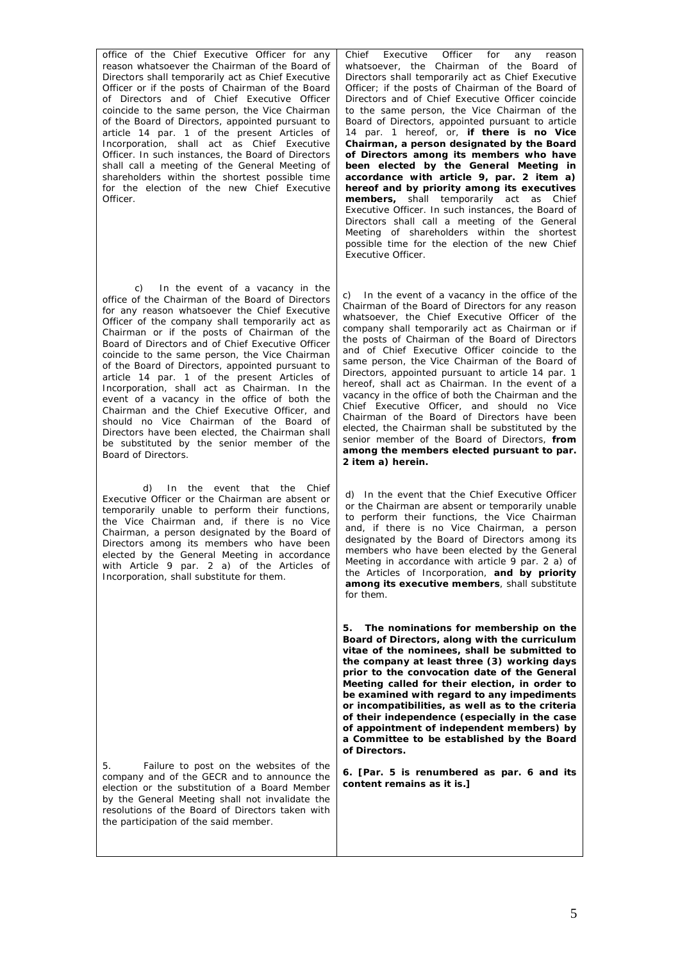*office of the Chief Executive Officer for any reason whatsoever the Chairman of the Board of Directors shall temporarily act as Chief Executive Officer or if the posts of Chairman of the Board of Directors and of Chief Executive Officer coincide to the same person, the Vice Chairman of the Board of Directors, appointed pursuant to article 14 par. 1 of the present Articles of Incorporation, shall act as Chief Executive Officer. In such instances, the Board of Directors shall call a meeting of the General Meeting of shareholders within the shortest possible time for the election of the new Chief Executive Officer.* 

*c) In the event of a vacancy in the office of the Chairman of the Board of Directors for any reason whatsoever the Chief Executive Officer of the company shall temporarily act as Chairman or if the posts of Chairman of the Board of Directors and of Chief Executive Officer coincide to the same person, the Vice Chairman of the Board of Directors, appointed pursuant to article 14 par. 1 of the present Articles of Incorporation, shall act as Chairman. In the event of a vacancy in the office of both the Chairman and the Chief Executive Officer, and should no Vice Chairman of the Board of Directors have been elected, the Chairman shall be substituted by the senior member of the Board of Directors.* 

*d) In the event that the Chief Executive Officer or the Chairman are absent or temporarily unable to perform their functions, the Vice Chairman and, if there is no Vice Chairman, a person designated by the Board of Directors among its members who have been elected by the General Meeting in accordance with Article 9 par. 2 a) of the Articles of Incorporation, shall substitute for them.* 

*5. Failure to post on the websites of the company and of the GECR and to announce the election or the substitution of a Board Member by the General Meeting shall not invalidate the resolutions of the Board of Directors taken with the participation of the said member.* 

Chief Executive Officer for any reason whatsoever, the Chairman of the Board of Directors shall temporarily act as Chief Executive Officer; if the posts of Chairman of the Board of Directors and of Chief Executive Officer coincide to the same person, the Vice Chairman of the Board of Directors, appointed pursuant to article 14 par. 1 hereof, or, **if there is no Vice Chairman, a person designated by the Board of Directors among its members who have been elected by the General Meeting in accordance with article 9, par. 2 item a) hereof and by priority among its executives members,** shall temporarily act as Chief Executive Officer. In such instances, the Board of Directors shall call a meeting of the General Meeting of shareholders within the shortest possible time for the election of the new Chief Executive Officer.

c) In the event of a vacancy in the office of the Chairman of the Board of Directors for any reason whatsoever, the Chief Executive Officer of the company shall temporarily act as Chairman or if the posts of Chairman of the Board of Directors and of Chief Executive Officer coincide to the same person, the Vice Chairman of the Board of Directors, appointed pursuant to article 14 par. 1 hereof, shall act as Chairman. In the event of a vacancy in the office of both the Chairman and the Chief Executive Officer, and should no Vice Chairman of the Board of Directors have been elected, the Chairman shall be substituted by the senior member of the Board of Directors, **from among the members elected pursuant to par. 2 item a) herein.**

d) In the event that the Chief Executive Officer or the Chairman are absent or temporarily unable to perform their functions, the Vice Chairman and, if there is no Vice Chairman, a person designated by the Board of Directors among its members who have been elected by the General Meeting in accordance with article  $\frac{9}{9}$  par. 2 a) of the Articles of Incorporation, **and by priority among its executive members**, shall substitute for them.

**5. The nominations for membership on the Board of Directors, along with the curriculum vitae of the nominees, shall be submitted to the company at least three (3) working days prior to the convocation date of the General Meeting called for their election, in order to be examined with regard to any impediments or incompatibilities, as well as to the criteria of their independence (especially in the case of appointment of independent members) by a Committee to be established by the Board of Directors.** 

**6. [Par. 5 is renumbered as par. 6 and its content remains as it is.]**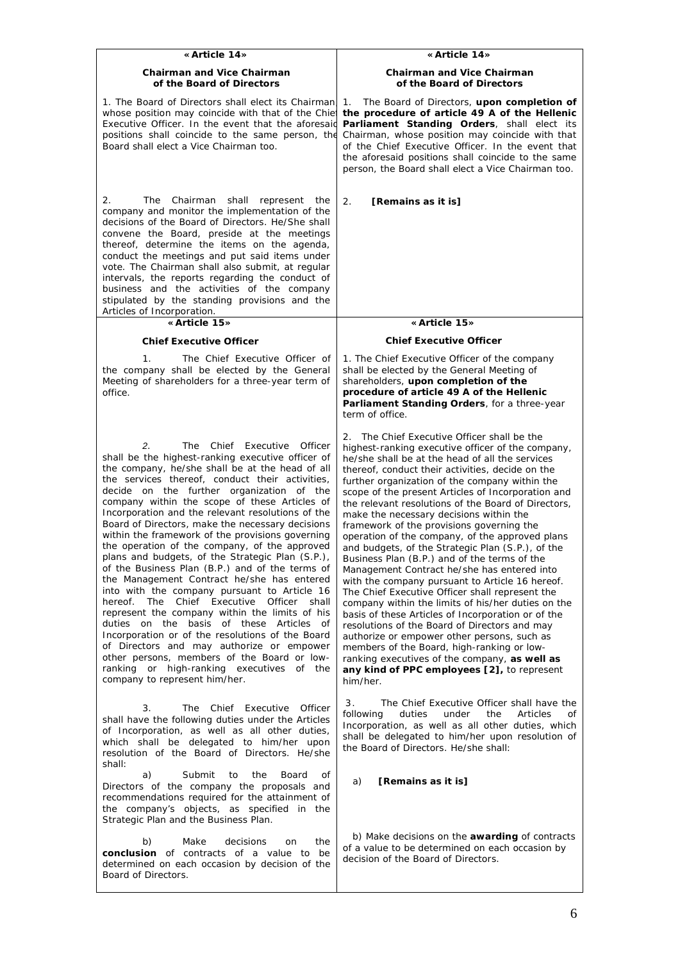| «Article 14»                                                                                                                                                                                                                                                                                                                                                                                                                                                                                                                                                                                                                                                                                                                                                                                                                                                                                                                                                                                                                                                                                    | « Article 14»                                                                                                                                                                                                                                                                                                                                                                                                                                                                                                                                                                                                                                                                                                                                                                                                                                                                                                                                                                                                                                                                                                                                     |
|-------------------------------------------------------------------------------------------------------------------------------------------------------------------------------------------------------------------------------------------------------------------------------------------------------------------------------------------------------------------------------------------------------------------------------------------------------------------------------------------------------------------------------------------------------------------------------------------------------------------------------------------------------------------------------------------------------------------------------------------------------------------------------------------------------------------------------------------------------------------------------------------------------------------------------------------------------------------------------------------------------------------------------------------------------------------------------------------------|---------------------------------------------------------------------------------------------------------------------------------------------------------------------------------------------------------------------------------------------------------------------------------------------------------------------------------------------------------------------------------------------------------------------------------------------------------------------------------------------------------------------------------------------------------------------------------------------------------------------------------------------------------------------------------------------------------------------------------------------------------------------------------------------------------------------------------------------------------------------------------------------------------------------------------------------------------------------------------------------------------------------------------------------------------------------------------------------------------------------------------------------------|
| Chairman and Vice Chairman<br>of the Board of Directors                                                                                                                                                                                                                                                                                                                                                                                                                                                                                                                                                                                                                                                                                                                                                                                                                                                                                                                                                                                                                                         | Chairman and Vice Chairman<br>of the Board of Directors                                                                                                                                                                                                                                                                                                                                                                                                                                                                                                                                                                                                                                                                                                                                                                                                                                                                                                                                                                                                                                                                                           |
| 1. The Board of Directors shall elect its Chairman<br>whose position may coincide with that of the Chie<br>Executive Officer. In the event that the aforesaid<br>positions shall coincide to the same person, the<br>Board shall elect a Vice Chairman too.                                                                                                                                                                                                                                                                                                                                                                                                                                                                                                                                                                                                                                                                                                                                                                                                                                     | 1. The Board of Directors, upon completion of<br>the procedure of article 49 A of the Hellenic<br>Parliament Standing Orders, shall elect its<br>Chairman, whose position may coincide with that<br>of the Chief Executive Officer. In the event that<br>the aforesaid positions shall coincide to the same<br>person, the Board shall elect a Vice Chairman too.                                                                                                                                                                                                                                                                                                                                                                                                                                                                                                                                                                                                                                                                                                                                                                                 |
| 2.<br>The<br>Chairman shall represent<br>the<br>company and monitor the implementation of the<br>decisions of the Board of Directors. He/She shall<br>convene the Board, preside at the meetings<br>thereof, determine the items on the agenda,<br>conduct the meetings and put said items under<br>vote. The Chairman shall also submit, at regular<br>intervals, the reports regarding the conduct of<br>business and the activities of the company<br>stipulated by the standing provisions and the<br>Articles of Incorporation.                                                                                                                                                                                                                                                                                                                                                                                                                                                                                                                                                            | 2.<br>[Remains as it is]                                                                                                                                                                                                                                                                                                                                                                                                                                                                                                                                                                                                                                                                                                                                                                                                                                                                                                                                                                                                                                                                                                                          |
| «Article 15»                                                                                                                                                                                                                                                                                                                                                                                                                                                                                                                                                                                                                                                                                                                                                                                                                                                                                                                                                                                                                                                                                    | «Article 15»                                                                                                                                                                                                                                                                                                                                                                                                                                                                                                                                                                                                                                                                                                                                                                                                                                                                                                                                                                                                                                                                                                                                      |
| <b>Chief Executive Officer</b>                                                                                                                                                                                                                                                                                                                                                                                                                                                                                                                                                                                                                                                                                                                                                                                                                                                                                                                                                                                                                                                                  | <b>Chief Executive Officer</b>                                                                                                                                                                                                                                                                                                                                                                                                                                                                                                                                                                                                                                                                                                                                                                                                                                                                                                                                                                                                                                                                                                                    |
| $\mathcal{I}$ .<br>The Chief Executive Officer of<br>the company shall be elected by the General<br>Meeting of shareholders for a three-year term of<br>office.                                                                                                                                                                                                                                                                                                                                                                                                                                                                                                                                                                                                                                                                                                                                                                                                                                                                                                                                 | 1. The Chief Executive Officer of the company<br>shall be elected by the General Meeting of<br>shareholders, upon completion of the<br>procedure of article 49 A of the Hellenic<br>Parliament Standing Orders, for a three-year<br>term of office.                                                                                                                                                                                                                                                                                                                                                                                                                                                                                                                                                                                                                                                                                                                                                                                                                                                                                               |
| 2.<br>The<br>Chief Executive Officer<br>shall be the highest-ranking executive officer of<br>the company, he/she shall be at the head of all<br>the services thereof, conduct their activities,<br>decide on the further organization of the<br>company within the scope of these Articles of<br>Incorporation and the relevant resolutions of the<br>Board of Directors, make the necessary decisions<br>within the framework of the provisions governing<br>the operation of the company, of the approved<br>plans and budgets, of the Strategic Plan (S.P.),<br>of the Business Plan (B.P.) and of the terms of<br>the Management Contract he/she has entered<br>into with the company pursuant to Article 16<br>The Chief Executive Officer<br>hereof.<br>shall<br>represent the company within the limits of his<br>duties on the basis of these Articles of<br>Incorporation or of the resolutions of the Board<br>of Directors and may authorize or empower<br>other persons, members of the Board or low-<br>ranking or high-ranking executives of the<br>company to represent him/her. | 2. The Chief Executive Officer shall be the<br>highest-ranking executive officer of the company,<br>he/she shall be at the head of all the services<br>thereof, conduct their activities, decide on the<br>further organization of the company within the<br>scope of the present Articles of Incorporation and<br>the relevant resolutions of the Board of Directors,<br>make the necessary decisions within the<br>framework of the provisions governing the<br>operation of the company, of the approved plans<br>and budgets, of the Strategic Plan (S.P.), of the<br>Business Plan (B.P.) and of the terms of the<br>Management Contract he/she has entered into<br>with the company pursuant to Article 16 hereof.<br>The Chief Executive Officer shall represent the<br>company within the limits of his/her duties on the<br>basis of these Articles of Incorporation or of the<br>resolutions of the Board of Directors and may<br>authorize or empower other persons, such as<br>members of the Board, high-ranking or low-<br>ranking executives of the company, as well as<br>any kind of PPC employees [2], to represent<br>him/her. |
| 3.<br>The Chief Executive Officer<br>shall have the following duties under the Articles<br>of Incorporation, as well as all other duties,<br>which shall be delegated to him/her upon<br>resolution of the Board of Directors. He/she<br>shall:<br>Submit<br>the<br>Board<br>a)<br>to<br>οf<br>Directors of the company the proposals and<br>recommendations required for the attainment of<br>the company's objects, as specified in the                                                                                                                                                                                                                                                                                                                                                                                                                                                                                                                                                                                                                                                       | The Chief Executive Officer shall have the<br>3.<br>following<br>duties<br>under<br>the<br>Articles<br>of<br>Incorporation, as well as all other duties, which<br>shall be delegated to him/her upon resolution of<br>the Board of Directors. He/she shall:<br>[Remains as it is]<br>a)                                                                                                                                                                                                                                                                                                                                                                                                                                                                                                                                                                                                                                                                                                                                                                                                                                                           |
| Strategic Plan and the Business Plan.<br>b)<br>Make<br>decisions<br>the<br>on<br>conclusion of contracts of a value to be<br>determined on each occasion by decision of the<br><b>Board of Directors.</b>                                                                                                                                                                                                                                                                                                                                                                                                                                                                                                                                                                                                                                                                                                                                                                                                                                                                                       | b) Make decisions on the awarding of contracts<br>of a value to be determined on each occasion by<br>decision of the Board of Directors.                                                                                                                                                                                                                                                                                                                                                                                                                                                                                                                                                                                                                                                                                                                                                                                                                                                                                                                                                                                                          |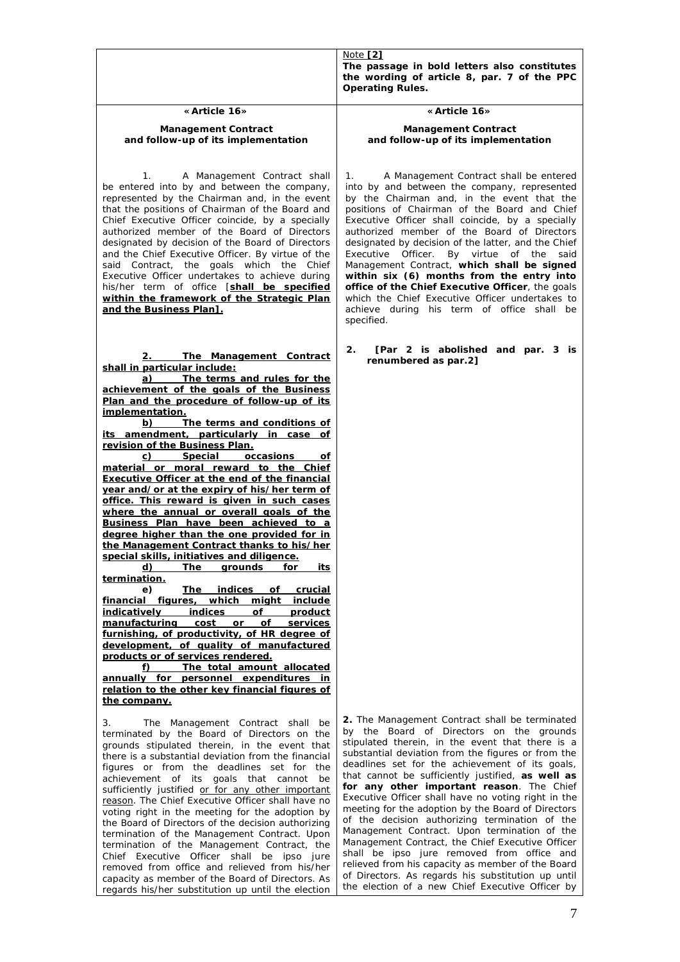|                                                                                                                                                                                                                                                                                                                                                                                                                                                                                                                                                                                                                                                                                                                                                                                                                                                                                                                                                                                                                                                                                                                                                                                                                                                                                    | Note $[2]$<br>The passage in bold letters also constitutes                                                                                                                                                                                                                                                                                                                                                                                                                                                                                                                                                                                                                                                                                                                                                                                |
|------------------------------------------------------------------------------------------------------------------------------------------------------------------------------------------------------------------------------------------------------------------------------------------------------------------------------------------------------------------------------------------------------------------------------------------------------------------------------------------------------------------------------------------------------------------------------------------------------------------------------------------------------------------------------------------------------------------------------------------------------------------------------------------------------------------------------------------------------------------------------------------------------------------------------------------------------------------------------------------------------------------------------------------------------------------------------------------------------------------------------------------------------------------------------------------------------------------------------------------------------------------------------------|-------------------------------------------------------------------------------------------------------------------------------------------------------------------------------------------------------------------------------------------------------------------------------------------------------------------------------------------------------------------------------------------------------------------------------------------------------------------------------------------------------------------------------------------------------------------------------------------------------------------------------------------------------------------------------------------------------------------------------------------------------------------------------------------------------------------------------------------|
|                                                                                                                                                                                                                                                                                                                                                                                                                                                                                                                                                                                                                                                                                                                                                                                                                                                                                                                                                                                                                                                                                                                                                                                                                                                                                    | the wording of article 8, par. 7 of the PPC<br>Operating Rules.                                                                                                                                                                                                                                                                                                                                                                                                                                                                                                                                                                                                                                                                                                                                                                           |
| «Article 16»                                                                                                                                                                                                                                                                                                                                                                                                                                                                                                                                                                                                                                                                                                                                                                                                                                                                                                                                                                                                                                                                                                                                                                                                                                                                       | «Article 16»                                                                                                                                                                                                                                                                                                                                                                                                                                                                                                                                                                                                                                                                                                                                                                                                                              |
| Management Contract<br>and follow-up of its implementation                                                                                                                                                                                                                                                                                                                                                                                                                                                                                                                                                                                                                                                                                                                                                                                                                                                                                                                                                                                                                                                                                                                                                                                                                         | Management Contract<br>and follow-up of its implementation                                                                                                                                                                                                                                                                                                                                                                                                                                                                                                                                                                                                                                                                                                                                                                                |
| A Management Contract shall<br>1.<br>be entered into by and between the company,<br>represented by the Chairman and, in the event<br>that the positions of Chairman of the Board and<br>Chief Executive Officer coincide, by a specially<br>authorized member of the Board of Directors<br>designated by decision of the Board of Directors<br>and the Chief Executive Officer. By virtue of the<br>said Contract, the goals which the Chief<br>Executive Officer undertakes to achieve during<br>his/her term of office [shall be specified<br>within the framework of the Strategic Plan<br>and the Business Plan1.                                                                                                                                                                                                                                                                                                                                                                                                                                                                                                                                                                                                                                                              | A Management Contract shall be entered<br>1.<br>into by and between the company, represented<br>by the Chairman and, in the event that the<br>positions of Chairman of the Board and Chief<br>Executive Officer shall coincide, by a specially<br>authorized member of the Board of Directors<br>designated by decision of the latter, and the Chief<br>Executive Officer. By virtue of the<br>said<br>Management Contract, which shall be signed<br>within six (6) months from the entry into<br>office of the Chief Executive Officer, the goals<br>which the Chief Executive Officer undertakes to<br>achieve during his term of office shall be<br>specified.                                                                                                                                                                         |
| The Management Contract<br>2.<br>shall in particular include:<br>a) The terms and rules for the<br>achievement of the goals of the Business<br>Plan and the procedure of follow-up of its<br>implementation.<br>b)<br>The terms and conditions of<br>its amendment, particularly in case of<br>revision of the Business Plan.<br>c) Special occasions<br>οf<br>material or moral reward to the Chief<br>Executive Officer at the end of the financial<br>year and/or at the expiry of his/her term of<br>office. This reward is given in such cases<br>where the annual or overall goals of the<br>Business Plan have been achieved to a<br>degree higher than the one provided for in<br>the Management Contract thanks to his/her<br>special skills, initiatives and diligence.<br>d)<br>The<br>for<br>grounds<br>its<br>termination.<br>e)<br>The indices of crucial<br>financial figures,<br>which might include<br>indices of product<br>indicatively<br>manufacturing cost or of<br>services<br>furnishing, of productivity, of HR degree of<br>development, of quality of manufactured<br>products or of services rendered.<br>The total amount allocated<br>f)<br>annually for personnel expenditures in<br>relation to the other key financial figures of<br>the company. | [Par 2 is abolished and par. 3 is<br>2.<br>renumbered as par.2]                                                                                                                                                                                                                                                                                                                                                                                                                                                                                                                                                                                                                                                                                                                                                                           |
| 3.<br>The Management Contract shall be<br>terminated by the Board of Directors on the<br>grounds stipulated therein, in the event that<br>there is a substantial deviation from the financial<br>figures or from the deadlines set for the<br>achievement of its goals that cannot be<br>sufficiently justified or for any other important<br>reason. The Chief Executive Officer shall have no<br>voting right in the meeting for the adoption by<br>the Board of Directors of the decision authorizing<br>termination of the Management Contract. Upon<br>termination of the Management Contract, the<br>Chief Executive Officer shall be ipso jure<br>removed from office and relieved from his/her<br>capacity as member of the Board of Directors. As<br>regards his/her substitution up until the election                                                                                                                                                                                                                                                                                                                                                                                                                                                                   | 2. The Management Contract shall be terminated<br>by the Board of Directors on the grounds<br>stipulated therein, in the event that there is a<br>substantial deviation from the figures or from the<br>deadlines set for the achievement of its goals,<br>that cannot be sufficiently justified, as well as<br>for any other important reason. The Chief<br>Executive Officer shall have no voting right in the<br>meeting for the adoption by the Board of Directors<br>of the decision authorizing termination of the<br>Management Contract. Upon termination of the<br>Management Contract, the Chief Executive Officer<br>shall be ipso jure removed from office and<br>relieved from his capacity as member of the Board<br>of Directors. As regards his substitution up until<br>the election of a new Chief Executive Officer by |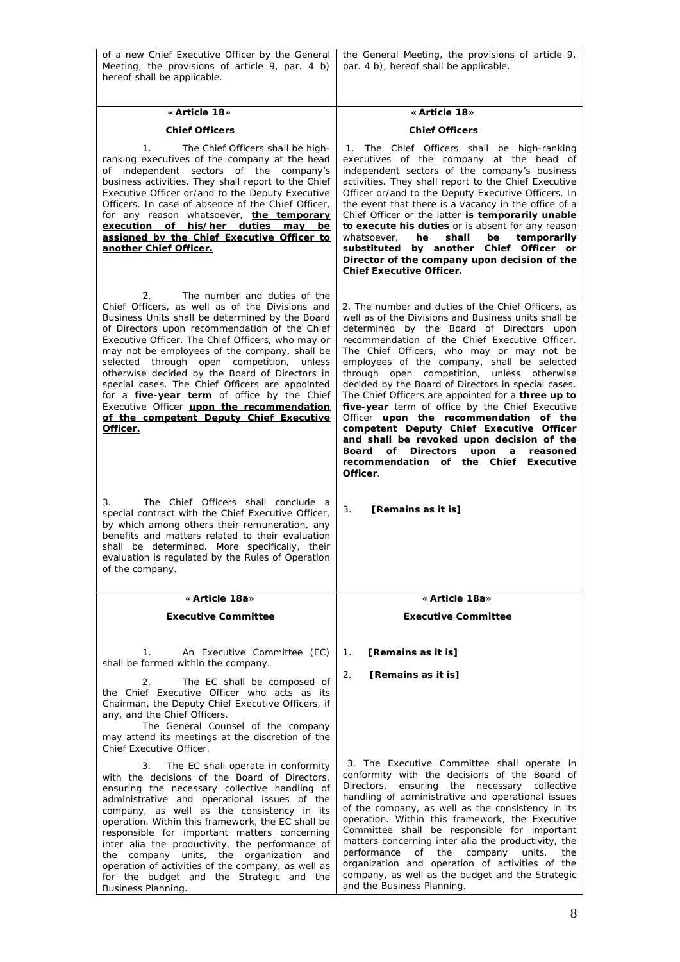| of a new Chief Executive Officer by the General<br>Meeting, the provisions of article 9, par. 4 b)<br>hereof shall be applicable.                                                                                                                                                                                                                                                                                                                                                                                                                                                                                                                 | the General Meeting, the provisions of article 9,<br>par. 4 b), hereof shall be applicable.                                                                                                                                                                                                                                                                                                                                                                                                                                                                                                                                                                                                                                                                |
|---------------------------------------------------------------------------------------------------------------------------------------------------------------------------------------------------------------------------------------------------------------------------------------------------------------------------------------------------------------------------------------------------------------------------------------------------------------------------------------------------------------------------------------------------------------------------------------------------------------------------------------------------|------------------------------------------------------------------------------------------------------------------------------------------------------------------------------------------------------------------------------------------------------------------------------------------------------------------------------------------------------------------------------------------------------------------------------------------------------------------------------------------------------------------------------------------------------------------------------------------------------------------------------------------------------------------------------------------------------------------------------------------------------------|
|                                                                                                                                                                                                                                                                                                                                                                                                                                                                                                                                                                                                                                                   |                                                                                                                                                                                                                                                                                                                                                                                                                                                                                                                                                                                                                                                                                                                                                            |
| « Article 18»                                                                                                                                                                                                                                                                                                                                                                                                                                                                                                                                                                                                                                     | «Article 18»                                                                                                                                                                                                                                                                                                                                                                                                                                                                                                                                                                                                                                                                                                                                               |
| <b>Chief Officers</b>                                                                                                                                                                                                                                                                                                                                                                                                                                                                                                                                                                                                                             | <b>Chief Officers</b>                                                                                                                                                                                                                                                                                                                                                                                                                                                                                                                                                                                                                                                                                                                                      |
| 1.<br>The Chief Officers shall be high-<br>ranking executives of the company at the head<br>of independent sectors of the company's<br>business activities. They shall report to the Chief<br>Executive Officer or/and to the Deputy Executive<br>Officers. In case of absence of the Chief Officer,<br>for any reason whatsoever, the temporary<br>execution of his/her duties may be<br>assigned by the Chief Executive Officer to<br>another Chief Officer.                                                                                                                                                                                    | The Chief Officers shall be high-ranking<br>1.<br>executives of the company at the head of<br>independent sectors of the company's business<br>activities. They shall report to the Chief Executive<br>Officer or/and to the Deputy Executive Officers. In<br>the event that there is a vacancy in the office of a<br>Chief Officer or the latter is temporarily unable<br>to execute his duties or is absent for any reason<br>whatsoever,<br>he<br>shall<br>be<br>temporarily<br>substituted by another Chief Officer or<br>Director of the company upon decision of the<br>Chief Executive Officer.                                                                                                                                                     |
| The number and duties of the<br>2.<br>Chief Officers, as well as of the Divisions and<br>Business Units shall be determined by the Board<br>of Directors upon recommendation of the Chief<br>Executive Officer. The Chief Officers, who may or<br>may not be employees of the company, shall be<br>selected through open competition, unless<br>otherwise decided by the Board of Directors in<br>special cases. The Chief Officers are appointed<br>for a five-year term of office by the Chief<br>Executive Officer upon the recommendation<br>of the competent Deputy Chief Executive<br>Officer.<br>The Chief Officers shall conclude a<br>3. | 2. The number and duties of the Chief Officers, as<br>well as of the Divisions and Business units shall be<br>determined by the Board of Directors upon<br>recommendation of the Chief Executive Officer.<br>The Chief Officers, who may or may not be<br>employees of the company, shall be selected<br>through open competition, unless otherwise<br>decided by the Board of Directors in special cases.<br>The Chief Officers are appointed for a three up to<br>five-year term of office by the Chief Executive<br>Officer upon the recommendation of the<br>competent Deputy Chief Executive Officer<br>and shall be revoked upon decision of the<br>Board of Directors<br>upon<br>reasoned<br>a<br>recommendation of the Chief Executive<br>Officer. |
| special contract with the Chief Executive Officer,<br>by which among others their remuneration, any<br>benefits and matters related to their evaluation<br>shall be determined. More specifically, their<br>evaluation is regulated by the Rules of Operation<br>of the company.                                                                                                                                                                                                                                                                                                                                                                  | 3.<br>[Remains as it is]                                                                                                                                                                                                                                                                                                                                                                                                                                                                                                                                                                                                                                                                                                                                   |
| «Article 18a»                                                                                                                                                                                                                                                                                                                                                                                                                                                                                                                                                                                                                                     | «Article 18a»                                                                                                                                                                                                                                                                                                                                                                                                                                                                                                                                                                                                                                                                                                                                              |
| Executive Committee                                                                                                                                                                                                                                                                                                                                                                                                                                                                                                                                                                                                                               | <b>Executive Committee</b>                                                                                                                                                                                                                                                                                                                                                                                                                                                                                                                                                                                                                                                                                                                                 |
| $\mathcal{I}$ .<br>An Executive Committee (EC)<br>shall be formed within the company.                                                                                                                                                                                                                                                                                                                                                                                                                                                                                                                                                             | [Remains as it is]<br>1.                                                                                                                                                                                                                                                                                                                                                                                                                                                                                                                                                                                                                                                                                                                                   |
| 2.<br>The EC shall be composed of<br>the Chief Executive Officer who acts as its<br>Chairman, the Deputy Chief Executive Officers, if<br>any, and the Chief Officers.<br>The General Counsel of the company<br>may attend its meetings at the discretion of the<br>Chief Executive Officer.                                                                                                                                                                                                                                                                                                                                                       | 2.<br>[Remains as it is]                                                                                                                                                                                                                                                                                                                                                                                                                                                                                                                                                                                                                                                                                                                                   |
| 3.<br>The EC shall operate in conformity<br>with the decisions of the Board of Directors,<br>ensuring the necessary collective handling of<br>administrative and operational issues of the<br>company, as well as the consistency in its<br>operation. Within this framework, the EC shall be<br>responsible for important matters concerning<br>inter alia the productivity, the performance of<br>the company units, the organization and<br>operation of activities of the company, as well as<br>for the budget and the Strategic and the<br><b>Business Planning.</b>                                                                        | 3. The Executive Committee shall operate in<br>conformity with the decisions of the Board of<br>Directors, ensuring the necessary collective<br>handling of administrative and operational issues<br>of the company, as well as the consistency in its<br>operation. Within this framework, the Executive<br>Committee shall be responsible for important<br>matters concerning inter alia the productivity, the<br>company<br>performance of<br>the<br>units,<br>the<br>organization and operation of activities of the<br>company, as well as the budget and the Strategic<br>and the Business Planning.                                                                                                                                                 |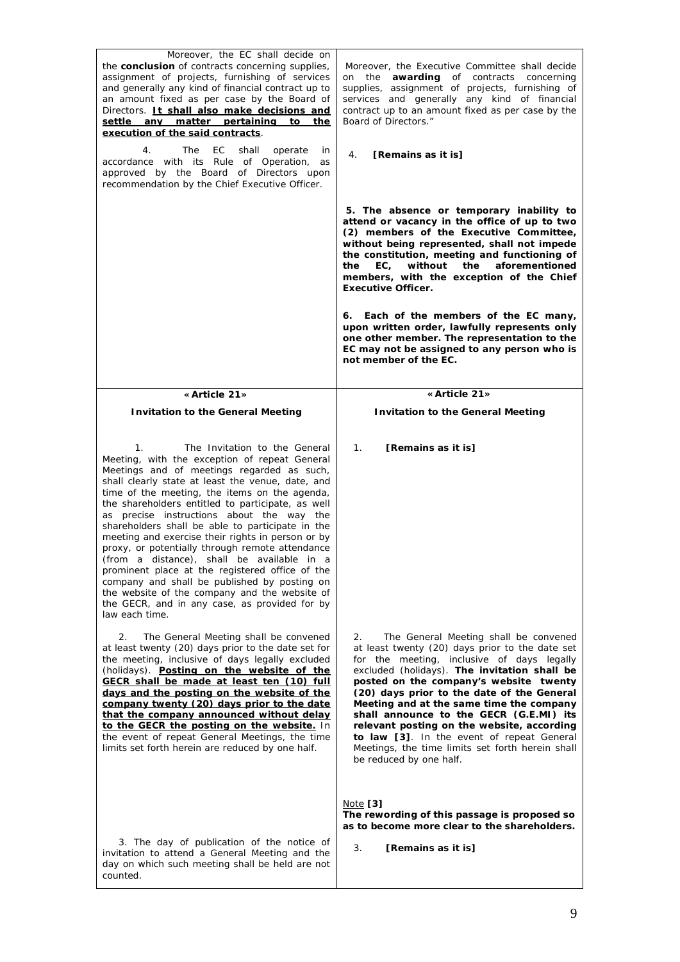| Moreover, the EC shall decide on<br>the conclusion of contracts concerning supplies,<br>assignment of projects, furnishing of services<br>and generally any kind of financial contract up to<br>an amount fixed as per case by the Board of<br>Directors. It shall also make decisions and<br>settle any matter pertaining<br>to<br>the<br>execution of the said contracts.<br>4.<br>The<br>ЕC<br>shall<br>operate<br>in<br>accordance with its Rule of Operation,<br>as<br>approved by the Board of Directors upon<br>recommendation by the Chief Executive Officer.                                                                                                                                                                                                                    | Moreover, the Executive Committee shall decide<br>on the awarding of contracts concerning<br>supplies, assignment of projects, furnishing of<br>services and generally any kind of financial<br>contract up to an amount fixed as per case by the<br>Board of Directors."<br>4.<br>[Remains as it is]                                                                                                                                                                                                                                                  |
|------------------------------------------------------------------------------------------------------------------------------------------------------------------------------------------------------------------------------------------------------------------------------------------------------------------------------------------------------------------------------------------------------------------------------------------------------------------------------------------------------------------------------------------------------------------------------------------------------------------------------------------------------------------------------------------------------------------------------------------------------------------------------------------|--------------------------------------------------------------------------------------------------------------------------------------------------------------------------------------------------------------------------------------------------------------------------------------------------------------------------------------------------------------------------------------------------------------------------------------------------------------------------------------------------------------------------------------------------------|
|                                                                                                                                                                                                                                                                                                                                                                                                                                                                                                                                                                                                                                                                                                                                                                                          | 5. The absence or temporary inability to<br>attend or vacancy in the office of up to two<br>(2) members of the Executive Committee,<br>without being represented, shall not impede<br>the constitution, meeting and functioning of<br>aforementioned<br>EC,<br>without<br>the<br>the<br>members, with the exception of the Chief<br>Executive Officer.                                                                                                                                                                                                 |
|                                                                                                                                                                                                                                                                                                                                                                                                                                                                                                                                                                                                                                                                                                                                                                                          | 6. Each of the members of the EC many,<br>upon written order, lawfully represents only<br>one other member. The representation to the<br>EC may not be assigned to any person who is<br>not member of the EC.                                                                                                                                                                                                                                                                                                                                          |
| «Article 21»                                                                                                                                                                                                                                                                                                                                                                                                                                                                                                                                                                                                                                                                                                                                                                             | «Article 21»                                                                                                                                                                                                                                                                                                                                                                                                                                                                                                                                           |
| Invitation to the General Meeting                                                                                                                                                                                                                                                                                                                                                                                                                                                                                                                                                                                                                                                                                                                                                        | Invitation to the General Meeting                                                                                                                                                                                                                                                                                                                                                                                                                                                                                                                      |
|                                                                                                                                                                                                                                                                                                                                                                                                                                                                                                                                                                                                                                                                                                                                                                                          |                                                                                                                                                                                                                                                                                                                                                                                                                                                                                                                                                        |
| $\mathcal{I}$ .<br>The Invitation to the General<br>Meeting, with the exception of repeat General<br>Meetings and of meetings regarded as such,<br>shall clearly state at least the venue, date, and<br>time of the meeting, the items on the agenda,<br>the shareholders entitled to participate, as well<br>as precise instructions about the way the<br>shareholders shall be able to participate in the<br>meeting and exercise their rights in person or by<br>proxy, or potentially through remote attendance<br>(from a distance), shall be available in a<br>prominent place at the registered office of the<br>company and shall be published by posting on<br>the website of the company and the website of<br>the GECR, and in any case, as provided for by<br>law each time. | 1.<br>[Remains as it is]                                                                                                                                                                                                                                                                                                                                                                                                                                                                                                                               |
| The General Meeting shall be convened<br>2.<br>at least twenty (20) days prior to the date set for<br>the meeting, inclusive of days legally excluded<br>(holidays). Posting on the website of the<br>GECR shall be made at least ten (10) full<br>days and the posting on the website of the<br>company twenty (20) days prior to the date<br>that the company announced without delay<br>to the GECR the posting on the website. In<br>the event of repeat General Meetings, the time<br>limits set forth herein are reduced by one half.                                                                                                                                                                                                                                              | The General Meeting shall be convened<br>2.<br>at least twenty (20) days prior to the date set<br>for the meeting, inclusive of days legally<br>excluded (holidays). The invitation shall be<br>posted on the company's website twenty<br>(20) days prior to the date of the General<br>Meeting and at the same time the company<br>shall announce to the GECR (G.E.MI) its<br>relevant posting on the website, according<br>to law [3]. In the event of repeat General<br>Meetings, the time limits set forth herein shall<br>be reduced by one half. |
| 3. The day of publication of the notice of<br>invitation to attend a General Meeting and the<br>day on which such meeting shall be held are not<br>counted.                                                                                                                                                                                                                                                                                                                                                                                                                                                                                                                                                                                                                              | <u>Note</u> [3]<br>The rewording of this passage is proposed so<br>as to become more clear to the shareholders.<br>3.<br>[Remains as it is]                                                                                                                                                                                                                                                                                                                                                                                                            |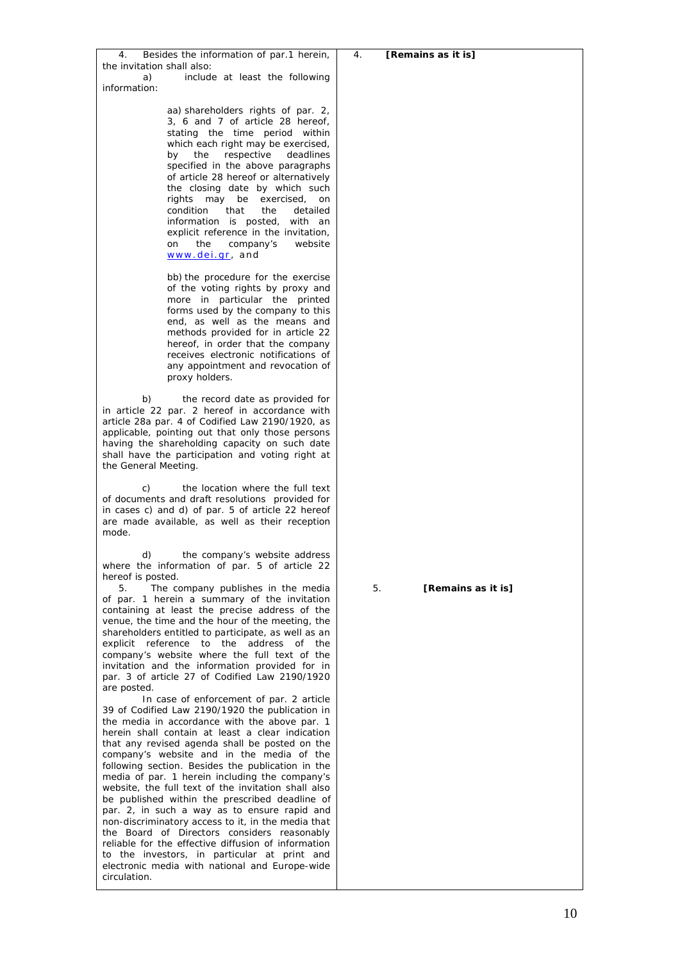| 4.<br>[Remains as it is] |
|--------------------------|
|                          |
|                          |
|                          |
|                          |
|                          |
|                          |
| 5.<br>[Remains as it is] |
|                          |
|                          |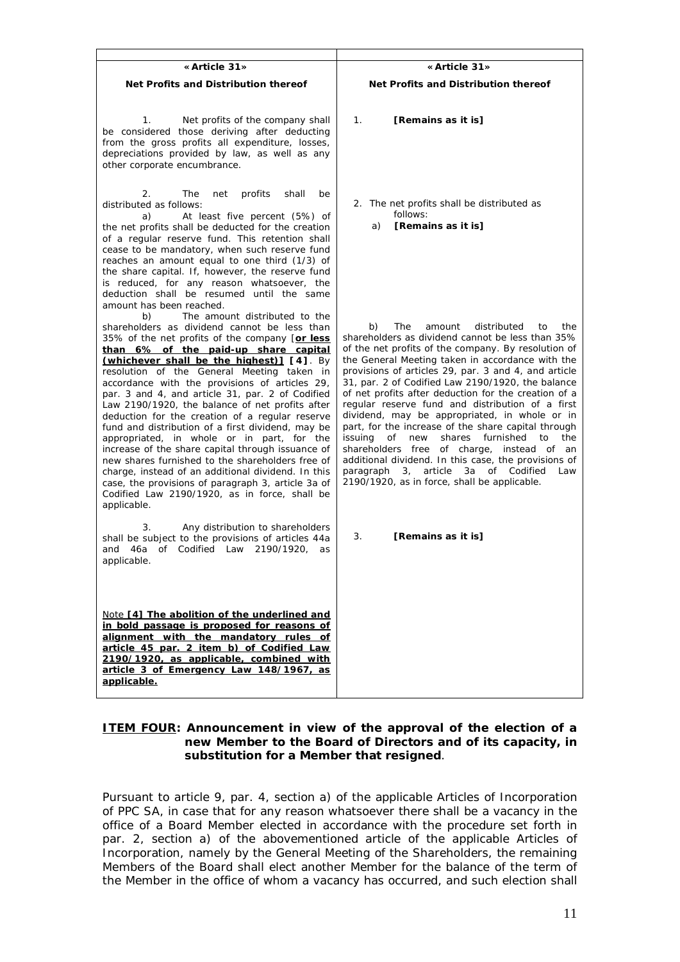| «Article 31»                                                                                                                                                                                                                                                                                                                                                                                                                                                                                                                                                                                                                                                                                                                                                                                                                                                                 | « Article 31»                                                                                                                                                                                                                                                                                                                                                                                                                                                                                                                                                                                                                                                                                                                                                                                                |
|------------------------------------------------------------------------------------------------------------------------------------------------------------------------------------------------------------------------------------------------------------------------------------------------------------------------------------------------------------------------------------------------------------------------------------------------------------------------------------------------------------------------------------------------------------------------------------------------------------------------------------------------------------------------------------------------------------------------------------------------------------------------------------------------------------------------------------------------------------------------------|--------------------------------------------------------------------------------------------------------------------------------------------------------------------------------------------------------------------------------------------------------------------------------------------------------------------------------------------------------------------------------------------------------------------------------------------------------------------------------------------------------------------------------------------------------------------------------------------------------------------------------------------------------------------------------------------------------------------------------------------------------------------------------------------------------------|
| Net Profits and Distribution thereof                                                                                                                                                                                                                                                                                                                                                                                                                                                                                                                                                                                                                                                                                                                                                                                                                                         | Net Profits and Distribution thereof                                                                                                                                                                                                                                                                                                                                                                                                                                                                                                                                                                                                                                                                                                                                                                         |
| Net profits of the company shall<br>1.<br>be considered those deriving after deducting<br>from the gross profits all expenditure, losses,<br>depreciations provided by law, as well as any<br>other corporate encumbrance.                                                                                                                                                                                                                                                                                                                                                                                                                                                                                                                                                                                                                                                   | $\mathbf{1}$ .<br>[Remains as it is]                                                                                                                                                                                                                                                                                                                                                                                                                                                                                                                                                                                                                                                                                                                                                                         |
| 2.<br>The<br>profits<br>shall<br>net<br>be<br>distributed as follows:<br>At least five percent (5%) of<br>a)<br>the net profits shall be deducted for the creation<br>of a regular reserve fund. This retention shall<br>cease to be mandatory, when such reserve fund<br>reaches an amount equal to one third (1/3) of<br>the share capital. If, however, the reserve fund<br>is reduced, for any reason whatsoever, the<br>deduction shall be resumed until the same<br>amount has been reached.                                                                                                                                                                                                                                                                                                                                                                           | 2. The net profits shall be distributed as<br>follows:<br>[Remains as it is]<br>a)                                                                                                                                                                                                                                                                                                                                                                                                                                                                                                                                                                                                                                                                                                                           |
| The amount distributed to the<br>b)<br>shareholders as dividend cannot be less than<br>35% of the net profits of the company [or less<br>than 6% of the paid-up share capital<br>(whichever shall be the highest)] [4]. By<br>resolution of the General Meeting taken in<br>accordance with the provisions of articles 29,<br>par. 3 and 4, and article 31, par. 2 of Codified<br>Law 2190/1920, the balance of net profits after<br>deduction for the creation of a regular reserve<br>fund and distribution of a first dividend, may be<br>appropriated, in whole or in part, for the<br>increase of the share capital through issuance of<br>new shares furnished to the shareholders free of<br>charge, instead of an additional dividend. In this<br>case, the provisions of paragraph 3, article 3a of<br>Codified Law 2190/1920, as in force, shall be<br>applicable. | b)<br>The<br>distributed<br>the<br>amount<br>to<br>shareholders as dividend cannot be less than 35%<br>of the net profits of the company. By resolution of<br>the General Meeting taken in accordance with the<br>provisions of articles 29, par. 3 and 4, and article<br>31, par. 2 of Codified Law 2190/1920, the balance<br>of net profits after deduction for the creation of a<br>regular reserve fund and distribution of a first<br>dividend, may be appropriated, in whole or in<br>part, for the increase of the share capital through<br>issuing of new<br>shares<br>furnished<br>the<br>to<br>shareholders free of charge, instead of an<br>additional dividend. In this case, the provisions of<br>3, article 3a of Codified<br>paragraph<br>Law<br>2190/1920, as in force, shall be applicable. |
| Any distribution to shareholders<br>3.<br>shall be subject to the provisions of articles 44a<br>of Codified Law 2190/1920,<br>and 46a<br>as<br>applicable.                                                                                                                                                                                                                                                                                                                                                                                                                                                                                                                                                                                                                                                                                                                   | 3.<br>[Remains as it is]                                                                                                                                                                                                                                                                                                                                                                                                                                                                                                                                                                                                                                                                                                                                                                                     |
| Note [4] The abolition of the underlined and<br>in bold passage is proposed for reasons of<br>alignment with the mandatory rules of<br>article 45 par. 2 item b) of Codified Law<br>2190/1920, as applicable, combined with<br>article 3 of Emergency Law 148/1967, as<br>applicable.                                                                                                                                                                                                                                                                                                                                                                                                                                                                                                                                                                                        |                                                                                                                                                                                                                                                                                                                                                                                                                                                                                                                                                                                                                                                                                                                                                                                                              |

## **ITEM FOUR: Announcement in view of the approval of the election of a new Member to the Board of Directors and of its capacity, in substitution for a Member that resigned**.

Pursuant to article 9, par. 4, section a) of the applicable Articles of Incorporation of PPC SA, in case that for any reason whatsoever there shall be a vacancy in the office of a Board Member elected in accordance with the procedure set forth in par. 2, section a) of the abovementioned article of the applicable Articles of Incorporation, namely by the General Meeting of the Shareholders, the remaining Members of the Board shall elect another Member for the balance of the term of the Member in the office of whom a vacancy has occurred, and such election shall